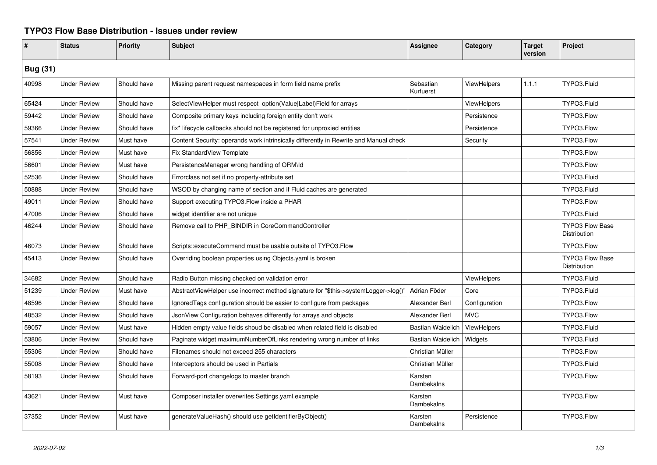## **TYPO3 Flow Base Distribution - Issues under review**

| #               | <b>Status</b>       | <b>Priority</b> | <b>Subject</b>                                                                        | <b>Assignee</b>          | Category      | <b>Target</b><br>version | Project                                |  |
|-----------------|---------------------|-----------------|---------------------------------------------------------------------------------------|--------------------------|---------------|--------------------------|----------------------------------------|--|
| <b>Bug (31)</b> |                     |                 |                                                                                       |                          |               |                          |                                        |  |
| 40998           | <b>Under Review</b> | Should have     | Missing parent request namespaces in form field name prefix                           | Sebastian<br>Kurfuerst   | ViewHelpers   | 1.1.1                    | TYPO3.Fluid                            |  |
| 65424           | <b>Under Review</b> | Should have     | SelectViewHelper must respect option(Value Label)Field for arrays                     |                          | ViewHelpers   |                          | TYPO3.Fluid                            |  |
| 59442           | <b>Under Review</b> | Should have     | Composite primary keys including foreign entity don't work                            |                          | Persistence   |                          | TYPO3.Flow                             |  |
| 59366           | <b>Under Review</b> | Should have     | fix* lifecycle callbacks should not be registered for unproxied entities              |                          | Persistence   |                          | TYPO3.Flow                             |  |
| 57541           | <b>Under Review</b> | Must have       | Content Security: operands work intrinsically differently in Rewrite and Manual check |                          | Security      |                          | TYPO3.Flow                             |  |
| 56856           | <b>Under Review</b> | Must have       | Fix StandardView Template                                                             |                          |               |                          | TYPO3.Flow                             |  |
| 56601           | <b>Under Review</b> | Must have       | PersistenceManager wrong handling of ORM\ld                                           |                          |               |                          | TYPO3.Flow                             |  |
| 52536           | <b>Under Review</b> | Should have     | Errorclass not set if no property-attribute set                                       |                          |               |                          | TYPO3.Fluid                            |  |
| 50888           | <b>Under Review</b> | Should have     | WSOD by changing name of section and if Fluid caches are generated                    |                          |               |                          | TYPO3.Fluid                            |  |
| 49011           | <b>Under Review</b> | Should have     | Support executing TYPO3.Flow inside a PHAR                                            |                          |               |                          | TYPO3.Flow                             |  |
| 47006           | <b>Under Review</b> | Should have     | widget identifier are not unique                                                      |                          |               |                          | TYPO3.Fluid                            |  |
| 46244           | <b>Under Review</b> | Should have     | Remove call to PHP_BINDIR in CoreCommandController                                    |                          |               |                          | <b>TYPO3 Flow Base</b><br>Distribution |  |
| 46073           | <b>Under Review</b> | Should have     | Scripts::executeCommand must be usable outsite of TYPO3.Flow                          |                          |               |                          | TYPO3.Flow                             |  |
| 45413           | <b>Under Review</b> | Should have     | Overriding boolean properties using Objects yaml is broken                            |                          |               |                          | <b>TYPO3 Flow Base</b><br>Distribution |  |
| 34682           | <b>Under Review</b> | Should have     | Radio Button missing checked on validation error                                      |                          | ViewHelpers   |                          | TYPO3.Fluid                            |  |
| 51239           | <b>Under Review</b> | Must have       | AbstractViewHelper use incorrect method signature for "\$this->systemLogger->log()'   | Adrian Föder             | Core          |                          | TYPO3.Fluid                            |  |
| 48596           | <b>Under Review</b> | Should have     | IgnoredTags configuration should be easier to configure from packages                 | Alexander Berl           | Configuration |                          | TYPO3.Flow                             |  |
| 48532           | <b>Under Review</b> | Should have     | JsonView Configuration behaves differently for arrays and objects                     | Alexander Berl           | <b>MVC</b>    |                          | TYPO3.Flow                             |  |
| 59057           | <b>Under Review</b> | Must have       | Hidden empty value fields shoud be disabled when related field is disabled            | <b>Bastian Waidelich</b> | ViewHelpers   |                          | TYPO3.Fluid                            |  |
| 53806           | <b>Under Review</b> | Should have     | Paginate widget maximumNumberOfLinks rendering wrong number of links                  | <b>Bastian Waidelich</b> | Widgets       |                          | TYPO3.Fluid                            |  |
| 55306           | <b>Under Review</b> | Should have     | Filenames should not exceed 255 characters                                            | Christian Müller         |               |                          | TYPO3.Flow                             |  |
| 55008           | <b>Under Review</b> | Should have     | Interceptors should be used in Partials                                               | Christian Müller         |               |                          | TYPO3.Fluid                            |  |
| 58193           | <b>Under Review</b> | Should have     | Forward-port changelogs to master branch                                              | Karsten<br>Dambekalns    |               |                          | TYPO3.Flow                             |  |
| 43621           | <b>Under Review</b> | Must have       | Composer installer overwrites Settings.yaml.example                                   | Karsten<br>Dambekalns    |               |                          | TYPO3.Flow                             |  |
| 37352           | <b>Under Review</b> | Must have       | generateValueHash() should use getIdentifierByObject()                                | Karsten<br>Dambekalns    | Persistence   |                          | TYPO3.Flow                             |  |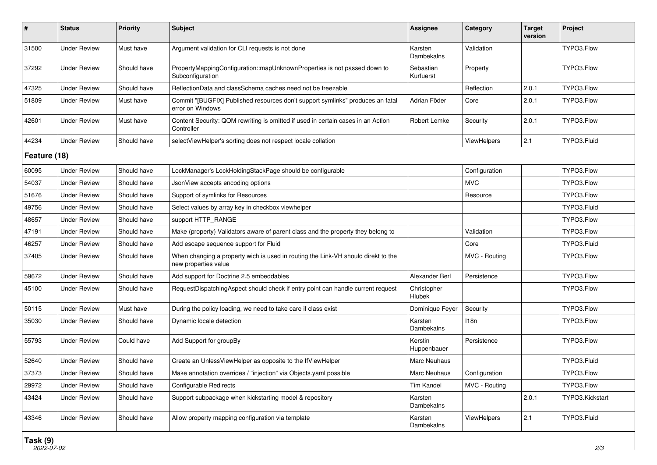| #            | <b>Status</b>       | <b>Priority</b> | Subject                                                                                                   | <b>Assignee</b>        | Category      | <b>Target</b><br>version | Project         |  |
|--------------|---------------------|-----------------|-----------------------------------------------------------------------------------------------------------|------------------------|---------------|--------------------------|-----------------|--|
| 31500        | <b>Under Review</b> | Must have       | Argument validation for CLI requests is not done                                                          | Karsten<br>Dambekalns  | Validation    |                          | TYPO3.Flow      |  |
| 37292        | <b>Under Review</b> | Should have     | PropertyMappingConfiguration::mapUnknownProperties is not passed down to<br>Subconfiguration              | Sebastian<br>Kurfuerst | Property      |                          | TYPO3.Flow      |  |
| 47325        | <b>Under Review</b> | Should have     | ReflectionData and classSchema caches need not be freezable                                               |                        | Reflection    | 2.0.1                    | TYPO3.Flow      |  |
| 51809        | <b>Under Review</b> | Must have       | Commit "[BUGFIX] Published resources don't support symlinks" produces an fatal<br>error on Windows        | Adrian Föder           | Core          | 2.0.1                    | TYPO3.Flow      |  |
| 42601        | <b>Under Review</b> | Must have       | Content Security: QOM rewriting is omitted if used in certain cases in an Action<br>Controller            | Robert Lemke           | Security      | 2.0.1                    | TYPO3.Flow      |  |
| 44234        | <b>Under Review</b> | Should have     | selectViewHelper's sorting does not respect locale collation                                              |                        | ViewHelpers   | 2.1                      | TYPO3.Fluid     |  |
| Feature (18) |                     |                 |                                                                                                           |                        |               |                          |                 |  |
| 60095        | <b>Under Review</b> | Should have     | LockManager's LockHoldingStackPage should be configurable                                                 |                        | Configuration |                          | TYPO3.Flow      |  |
| 54037        | <b>Under Review</b> | Should have     | JsonView accepts encoding options                                                                         |                        | <b>MVC</b>    |                          | TYPO3.Flow      |  |
| 51676        | <b>Under Review</b> | Should have     | Support of symlinks for Resources                                                                         |                        | Resource      |                          | TYPO3.Flow      |  |
| 49756        | <b>Under Review</b> | Should have     | Select values by array key in checkbox viewhelper                                                         |                        |               |                          | TYPO3.Fluid     |  |
| 48657        | <b>Under Review</b> | Should have     | support HTTP_RANGE                                                                                        |                        |               |                          | TYPO3.Flow      |  |
| 47191        | <b>Under Review</b> | Should have     | Make (property) Validators aware of parent class and the property they belong to                          |                        | Validation    |                          | TYPO3.Flow      |  |
| 46257        | <b>Under Review</b> | Should have     | Add escape sequence support for Fluid                                                                     |                        | Core          |                          | TYPO3.Fluid     |  |
| 37405        | <b>Under Review</b> | Should have     | When changing a property wich is used in routing the Link-VH should direkt to the<br>new properties value |                        | MVC - Routing |                          | TYPO3.Flow      |  |
| 59672        | <b>Under Review</b> | Should have     | Add support for Doctrine 2.5 embeddables                                                                  | Alexander Berl         | Persistence   |                          | TYPO3.Flow      |  |
| 45100        | <b>Under Review</b> | Should have     | RequestDispatchingAspect should check if entry point can handle current request                           | Christopher<br>Hlubek  |               |                          | TYPO3.Flow      |  |
| 50115        | <b>Under Review</b> | Must have       | During the policy loading, we need to take care if class exist                                            | Dominique Feyer        | Security      |                          | TYPO3.Flow      |  |
| 35030        | <b>Under Review</b> | Should have     | Dynamic locale detection                                                                                  | Karsten<br>Dambekalns  | 118n          |                          | TYPO3.Flow      |  |
| 55793        | <b>Under Review</b> | Could have      | Add Support for groupBy                                                                                   | Kerstin<br>Huppenbauer | Persistence   |                          | TYPO3.Flow      |  |
| 52640        | <b>Under Review</b> | Should have     | Create an UnlessViewHelper as opposite to the IfViewHelper                                                | Marc Neuhaus           |               |                          | TYPO3.Fluid     |  |
| 37373        | <b>Under Review</b> | Should have     | Make annotation overrides / "injection" via Objects.yaml possible                                         | Marc Neuhaus           | Configuration |                          | TYPO3.Flow      |  |
| 29972        | <b>Under Review</b> | Should have     | Configurable Redirects                                                                                    | Tim Kandel             | MVC - Routing |                          | TYPO3.Flow      |  |
| 43424        | Under Review        | Should have     | Support subpackage when kickstarting model & repository                                                   | Karsten<br>Dambekalns  |               | 2.0.1                    | TYPO3.Kickstart |  |
| 43346        | <b>Under Review</b> | Should have     | Allow property mapping configuration via template                                                         | Karsten<br>Dambekalns  | ViewHelpers   | 2.1                      | TYPO3.Fluid     |  |